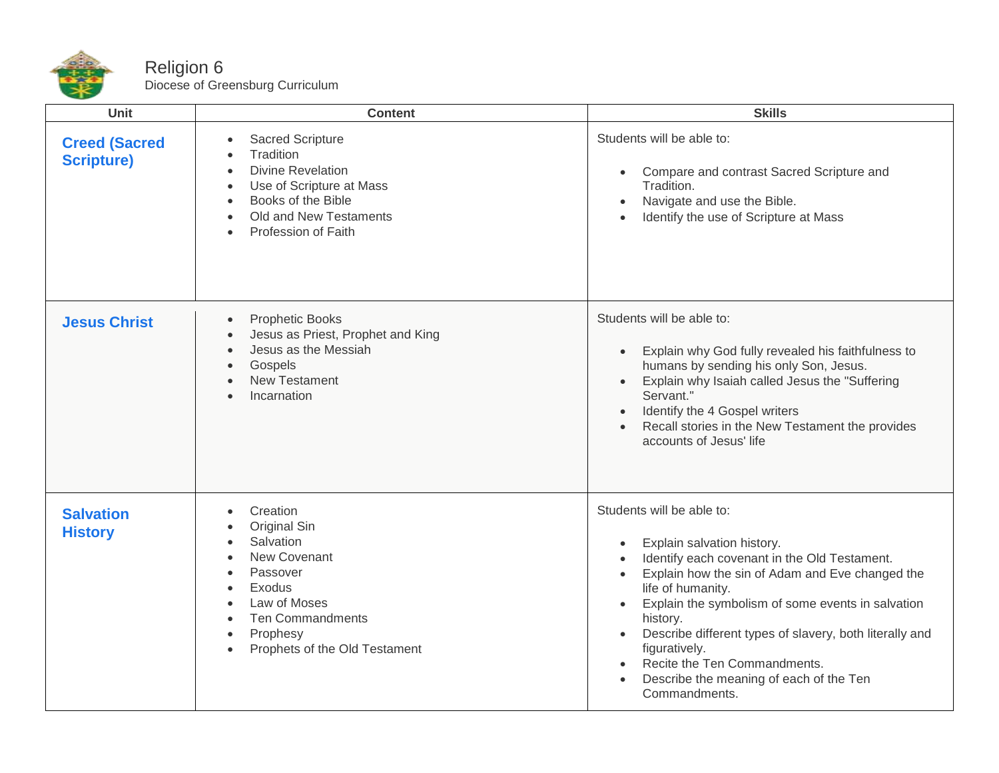

## Religion 6 Diocese of Greensburg Curriculum

| <b>Unit</b>                               | <b>Content</b>                                                                                                                                                                                                                                    | <b>Skills</b>                                                                                                                                                                                                                                                                                                                                                                                                                                                                                          |
|-------------------------------------------|---------------------------------------------------------------------------------------------------------------------------------------------------------------------------------------------------------------------------------------------------|--------------------------------------------------------------------------------------------------------------------------------------------------------------------------------------------------------------------------------------------------------------------------------------------------------------------------------------------------------------------------------------------------------------------------------------------------------------------------------------------------------|
| <b>Creed (Sacred</b><br><b>Scripture)</b> | Sacred Scripture<br>Tradition<br>$\bullet$<br><b>Divine Revelation</b><br>$\bullet$<br>Use of Scripture at Mass<br>$\bullet$<br>Books of the Bible<br>$\bullet$<br>Old and New Testaments<br>Profession of Faith                                  | Students will be able to:<br>Compare and contrast Sacred Scripture and<br>$\bullet$<br>Tradition.<br>Navigate and use the Bible.<br>$\bullet$<br>Identify the use of Scripture at Mass<br>$\bullet$                                                                                                                                                                                                                                                                                                    |
| <b>Jesus Christ</b>                       | <b>Prophetic Books</b><br>$\bullet$<br>Jesus as Priest, Prophet and King<br>Jesus as the Messiah<br>$\bullet$<br>Gospels<br>$\bullet$<br><b>New Testament</b><br>Incarnation                                                                      | Students will be able to:<br>Explain why God fully revealed his faithfulness to<br>$\bullet$<br>humans by sending his only Son, Jesus.<br>Explain why Isaiah called Jesus the "Suffering<br>$\bullet$<br>Servant."<br>Identify the 4 Gospel writers<br>$\bullet$<br>Recall stories in the New Testament the provides<br>accounts of Jesus' life                                                                                                                                                        |
| <b>Salvation</b><br><b>History</b>        | Creation<br>$\bullet$<br>Original Sin<br>Salvation<br>New Covenant<br>Passover<br>$\bullet$<br>Exodus<br>$\bullet$<br>Law of Moses<br>$\bullet$<br><b>Ten Commandments</b><br>Prophesy<br>$\bullet$<br>Prophets of the Old Testament<br>$\bullet$ | Students will be able to:<br>Explain salvation history.<br>$\bullet$<br>Identify each covenant in the Old Testament.<br>$\bullet$<br>Explain how the sin of Adam and Eve changed the<br>$\bullet$<br>life of humanity.<br>Explain the symbolism of some events in salvation<br>$\bullet$<br>history.<br>Describe different types of slavery, both literally and<br>$\bullet$<br>figuratively.<br>Recite the Ten Commandments.<br>$\bullet$<br>Describe the meaning of each of the Ten<br>Commandments. |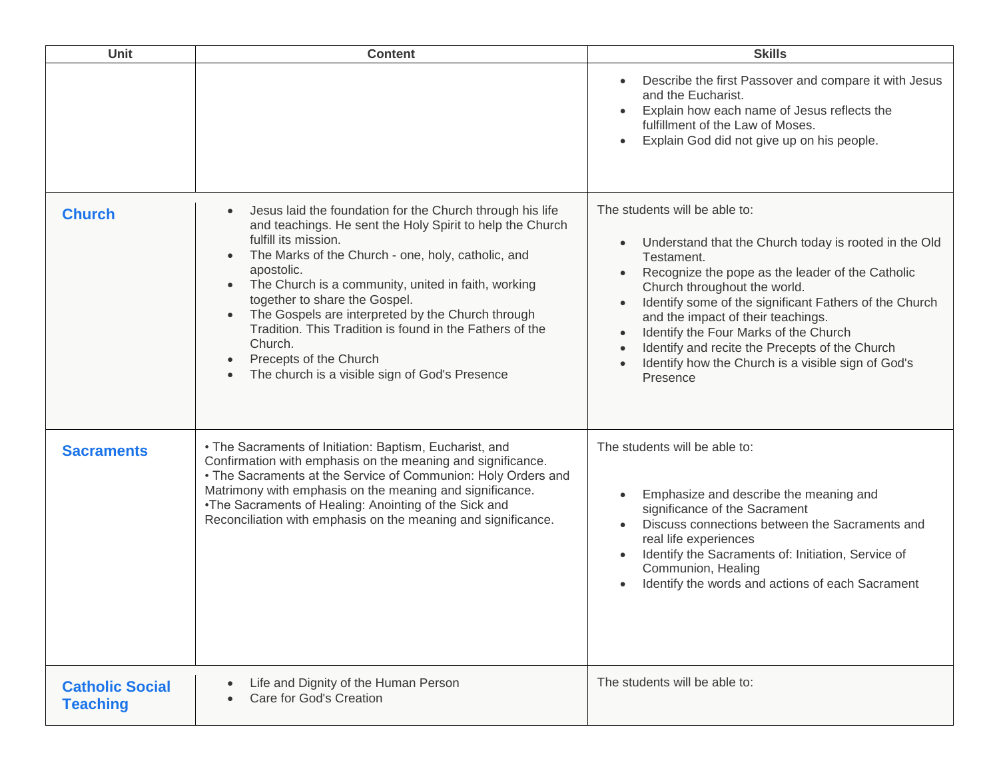| <b>Unit</b>                               | <b>Content</b>                                                                                                                                                                                                                                                                                                                                                                                                                                                                                                                                            | <b>Skills</b>                                                                                                                                                                                                                                                                                                                                                                                                                                                                                                                       |
|-------------------------------------------|-----------------------------------------------------------------------------------------------------------------------------------------------------------------------------------------------------------------------------------------------------------------------------------------------------------------------------------------------------------------------------------------------------------------------------------------------------------------------------------------------------------------------------------------------------------|-------------------------------------------------------------------------------------------------------------------------------------------------------------------------------------------------------------------------------------------------------------------------------------------------------------------------------------------------------------------------------------------------------------------------------------------------------------------------------------------------------------------------------------|
|                                           |                                                                                                                                                                                                                                                                                                                                                                                                                                                                                                                                                           | Describe the first Passover and compare it with Jesus<br>and the Eucharist.<br>Explain how each name of Jesus reflects the<br>fulfillment of the Law of Moses.<br>Explain God did not give up on his people.                                                                                                                                                                                                                                                                                                                        |
| <b>Church</b>                             | Jesus laid the foundation for the Church through his life<br>$\bullet$<br>and teachings. He sent the Holy Spirit to help the Church<br>fulfill its mission.<br>The Marks of the Church - one, holy, catholic, and<br>$\bullet$<br>apostolic.<br>The Church is a community, united in faith, working<br>$\bullet$<br>together to share the Gospel.<br>The Gospels are interpreted by the Church through<br>Tradition. This Tradition is found in the Fathers of the<br>Church.<br>Precepts of the Church<br>The church is a visible sign of God's Presence | The students will be able to:<br>Understand that the Church today is rooted in the Old<br>$\bullet$<br>Testament.<br>Recognize the pope as the leader of the Catholic<br>$\bullet$<br>Church throughout the world.<br>Identify some of the significant Fathers of the Church<br>$\bullet$<br>and the impact of their teachings.<br>Identify the Four Marks of the Church<br>$\bullet$<br>Identify and recite the Precepts of the Church<br>$\bullet$<br>Identify how the Church is a visible sign of God's<br>$\bullet$<br>Presence |
| <b>Sacraments</b>                         | • The Sacraments of Initiation: Baptism, Eucharist, and<br>Confirmation with emphasis on the meaning and significance.<br>• The Sacraments at the Service of Communion: Holy Orders and<br>Matrimony with emphasis on the meaning and significance.<br>•The Sacraments of Healing: Anointing of the Sick and<br>Reconciliation with emphasis on the meaning and significance.                                                                                                                                                                             | The students will be able to:<br>Emphasize and describe the meaning and<br>$\bullet$<br>significance of the Sacrament<br>Discuss connections between the Sacraments and<br>real life experiences<br>Identify the Sacraments of: Initiation, Service of<br>Communion, Healing<br>Identify the words and actions of each Sacrament                                                                                                                                                                                                    |
| <b>Catholic Social</b><br><b>Teaching</b> | Life and Dignity of the Human Person<br>$\bullet$<br>Care for God's Creation                                                                                                                                                                                                                                                                                                                                                                                                                                                                              | The students will be able to:                                                                                                                                                                                                                                                                                                                                                                                                                                                                                                       |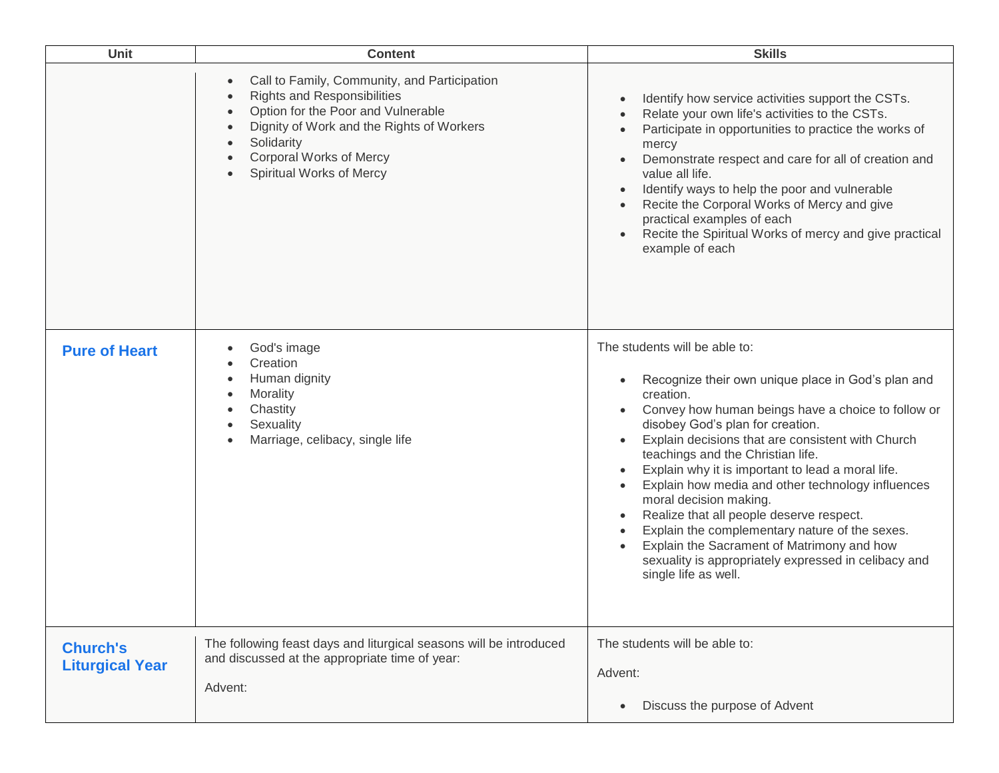| <b>Unit</b>                               | <b>Content</b>                                                                                                                                                                                                                                                 | <b>Skills</b>                                                                                                                                                                                                                                                                                                                                                                                                                                                                                                                                                                                                                                        |
|-------------------------------------------|----------------------------------------------------------------------------------------------------------------------------------------------------------------------------------------------------------------------------------------------------------------|------------------------------------------------------------------------------------------------------------------------------------------------------------------------------------------------------------------------------------------------------------------------------------------------------------------------------------------------------------------------------------------------------------------------------------------------------------------------------------------------------------------------------------------------------------------------------------------------------------------------------------------------------|
|                                           | Call to Family, Community, and Participation<br>$\bullet$<br><b>Rights and Responsibilities</b><br>Option for the Poor and Vulnerable<br>Dignity of Work and the Rights of Workers<br>Solidarity<br><b>Corporal Works of Mercy</b><br>Spiritual Works of Mercy | Identify how service activities support the CSTs.<br>Relate your own life's activities to the CSTs.<br>Participate in opportunities to practice the works of<br>mercy<br>Demonstrate respect and care for all of creation and<br>value all life.<br>Identify ways to help the poor and vulnerable<br>Recite the Corporal Works of Mercy and give<br>practical examples of each<br>Recite the Spiritual Works of mercy and give practical<br>example of each                                                                                                                                                                                          |
| <b>Pure of Heart</b>                      | God's image<br>Creation<br>Human dignity<br>Morality<br>Chastity<br>Sexuality<br>Marriage, celibacy, single life                                                                                                                                               | The students will be able to:<br>Recognize their own unique place in God's plan and<br>creation.<br>Convey how human beings have a choice to follow or<br>disobey God's plan for creation.<br>Explain decisions that are consistent with Church<br>teachings and the Christian life.<br>Explain why it is important to lead a moral life.<br>Explain how media and other technology influences<br>moral decision making.<br>Realize that all people deserve respect.<br>Explain the complementary nature of the sexes.<br>Explain the Sacrament of Matrimony and how<br>sexuality is appropriately expressed in celibacy and<br>single life as well. |
| <b>Church's</b><br><b>Liturgical Year</b> | The following feast days and liturgical seasons will be introduced<br>and discussed at the appropriate time of year:<br>Advent:                                                                                                                                | The students will be able to:<br>Advent:<br>Discuss the purpose of Advent                                                                                                                                                                                                                                                                                                                                                                                                                                                                                                                                                                            |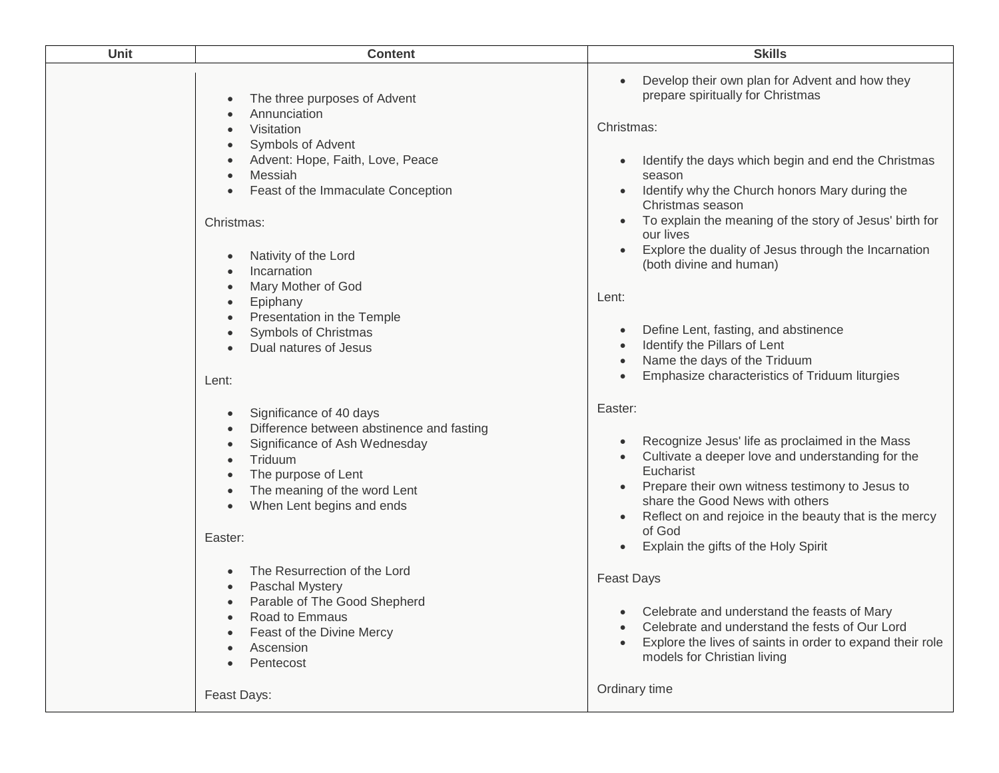| <b>Unit</b> | <b>Content</b>                                                                                                                                                                                                                                                                                                                                                              | <b>Skills</b>                                                                                                                                                                                                                                                                                                                                                                                                                                                                                                                                                                                    |
|-------------|-----------------------------------------------------------------------------------------------------------------------------------------------------------------------------------------------------------------------------------------------------------------------------------------------------------------------------------------------------------------------------|--------------------------------------------------------------------------------------------------------------------------------------------------------------------------------------------------------------------------------------------------------------------------------------------------------------------------------------------------------------------------------------------------------------------------------------------------------------------------------------------------------------------------------------------------------------------------------------------------|
|             | The three purposes of Advent<br>Annunciation<br>Visitation<br>Symbols of Advent<br>Advent: Hope, Faith, Love, Peace<br>Messiah<br>Feast of the Immaculate Conception<br>Christmas:<br>Nativity of the Lord<br>Incarnation<br>Mary Mother of God<br>Epiphany<br>Presentation in the Temple<br>Symbols of Christmas<br>Dual natures of Jesus<br>Lent:                         | Develop their own plan for Advent and how they<br>prepare spiritually for Christmas<br>Christmas:<br>Identify the days which begin and end the Christmas<br>$\bullet$<br>season<br>Identify why the Church honors Mary during the<br>Christmas season<br>To explain the meaning of the story of Jesus' birth for<br>our lives<br>Explore the duality of Jesus through the Incarnation<br>(both divine and human)<br>Lent:<br>Define Lent, fasting, and abstinence<br>$\bullet$<br>Identify the Pillars of Lent<br>Name the days of the Triduum<br>Emphasize characteristics of Triduum liturgies |
|             | Significance of 40 days<br>Difference between abstinence and fasting<br>Significance of Ash Wednesday<br>Triduum<br>The purpose of Lent<br>The meaning of the word Lent<br>When Lent begins and ends<br>Easter:<br>The Resurrection of the Lord<br>Paschal Mystery<br>Parable of The Good Shepherd<br>Road to Emmaus<br>Feast of the Divine Mercy<br>Ascension<br>Pentecost | Easter:<br>Recognize Jesus' life as proclaimed in the Mass<br>Cultivate a deeper love and understanding for the<br>Eucharist<br>Prepare their own witness testimony to Jesus to<br>share the Good News with others<br>Reflect on and rejoice in the beauty that is the mercy<br>of God<br>Explain the gifts of the Holy Spirit<br><b>Feast Days</b><br>Celebrate and understand the feasts of Mary<br>Celebrate and understand the fests of Our Lord<br>Explore the lives of saints in order to expand their role<br>models for Christian living                                                 |
|             | Feast Days:                                                                                                                                                                                                                                                                                                                                                                 | Ordinary time                                                                                                                                                                                                                                                                                                                                                                                                                                                                                                                                                                                    |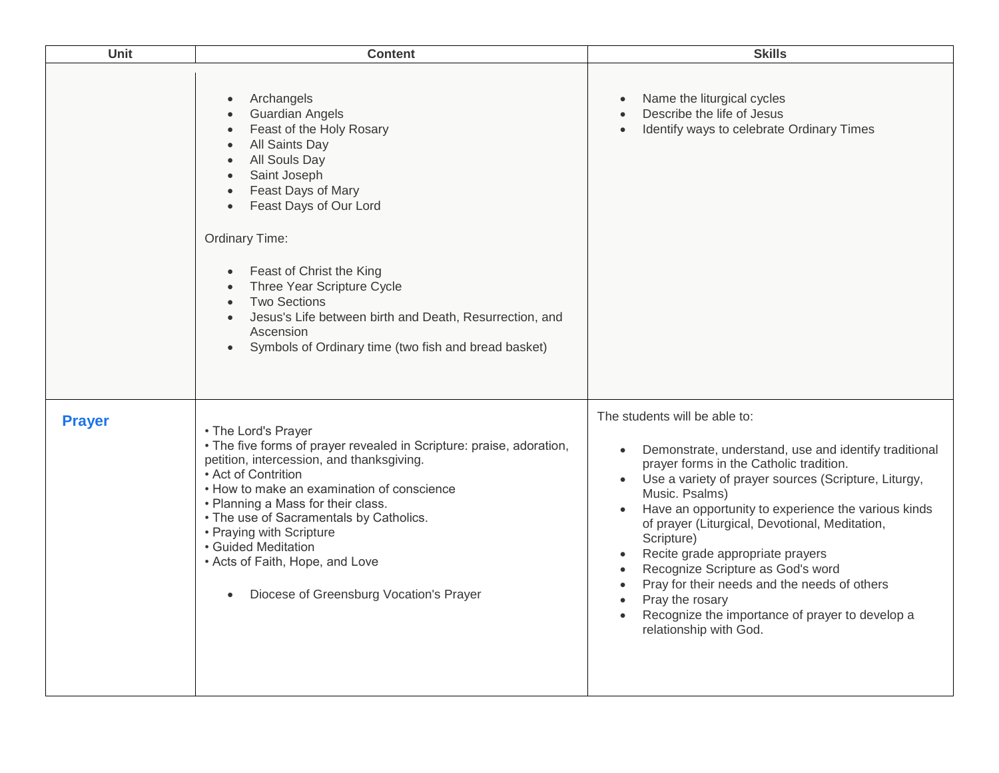| Unit          | <b>Content</b>                                                                                                                                                                                                                                                                                                                                                                                                                                                                                                                                                     | <b>Skills</b>                                                                                                                                                                                                                                                                                                                                                                                                                                                                                                                                                                         |
|---------------|--------------------------------------------------------------------------------------------------------------------------------------------------------------------------------------------------------------------------------------------------------------------------------------------------------------------------------------------------------------------------------------------------------------------------------------------------------------------------------------------------------------------------------------------------------------------|---------------------------------------------------------------------------------------------------------------------------------------------------------------------------------------------------------------------------------------------------------------------------------------------------------------------------------------------------------------------------------------------------------------------------------------------------------------------------------------------------------------------------------------------------------------------------------------|
|               | Archangels<br>$\bullet$<br><b>Guardian Angels</b><br>$\bullet$<br>Feast of the Holy Rosary<br>$\bullet$<br>All Saints Day<br>$\bullet$<br>All Souls Day<br>$\bullet$<br>Saint Joseph<br>$\bullet$<br>Feast Days of Mary<br>$\bullet$<br>Feast Days of Our Lord<br>$\bullet$<br>Ordinary Time:<br>Feast of Christ the King<br>$\bullet$<br>Three Year Scripture Cycle<br>$\bullet$<br><b>Two Sections</b><br>$\bullet$<br>Jesus's Life between birth and Death, Resurrection, and<br>$\bullet$<br>Ascension<br>Symbols of Ordinary time (two fish and bread basket) | Name the liturgical cycles<br>$\bullet$<br>Describe the life of Jesus<br>$\bullet$<br>Identify ways to celebrate Ordinary Times<br>$\bullet$                                                                                                                                                                                                                                                                                                                                                                                                                                          |
| <b>Prayer</b> | • The Lord's Prayer<br>• The five forms of prayer revealed in Scripture: praise, adoration,<br>petition, intercession, and thanksgiving.<br>• Act of Contrition<br>• How to make an examination of conscience<br>• Planning a Mass for their class.<br>• The use of Sacramentals by Catholics.<br>• Praying with Scripture<br>• Guided Meditation<br>• Acts of Faith, Hope, and Love<br>Diocese of Greensburg Vocation's Prayer<br>$\bullet$                                                                                                                       | The students will be able to:<br>Demonstrate, understand, use and identify traditional<br>prayer forms in the Catholic tradition.<br>Use a variety of prayer sources (Scripture, Liturgy,<br>Music. Psalms)<br>Have an opportunity to experience the various kinds<br>of prayer (Liturgical, Devotional, Meditation,<br>Scripture)<br>Recite grade appropriate prayers<br>Recognize Scripture as God's word<br>$\bullet$<br>Pray for their needs and the needs of others<br>Pray the rosary<br>$\bullet$<br>Recognize the importance of prayer to develop a<br>relationship with God. |